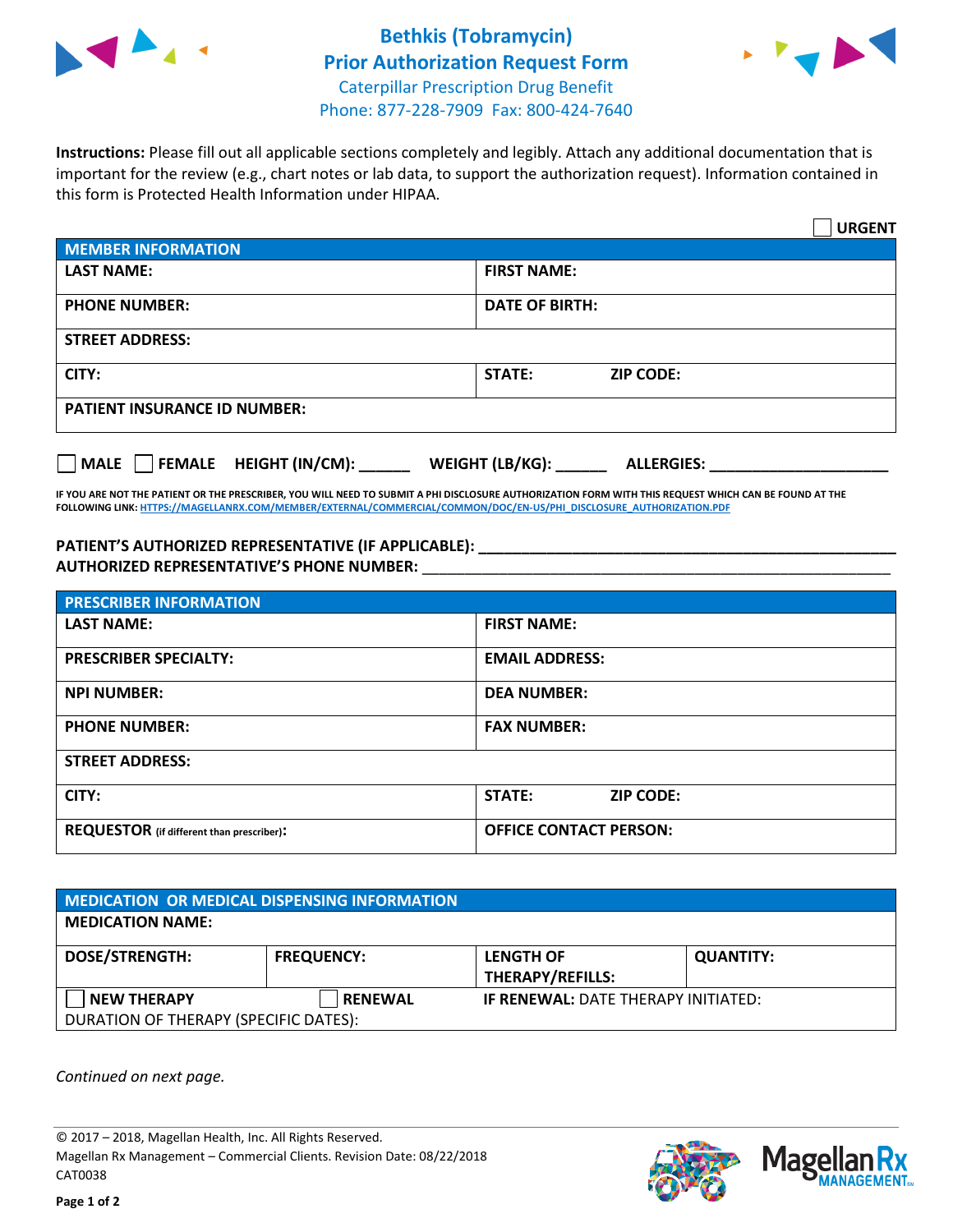



**Instructions:** Please fill out all applicable sections completely and legibly. Attach any additional documentation that is important for the review (e.g., chart notes or lab data, to support the authorization request). Information contained in this form is Protected Health Information under HIPAA.

|                                       | <b>URGENT</b>                          |  |  |  |
|---------------------------------------|----------------------------------------|--|--|--|
| <b>MEMBER INFORMATION</b>             |                                        |  |  |  |
| <b>LAST NAME:</b>                     | <b>FIRST NAME:</b>                     |  |  |  |
| <b>PHONE NUMBER:</b>                  | <b>DATE OF BIRTH:</b>                  |  |  |  |
| <b>STREET ADDRESS:</b>                |                                        |  |  |  |
| CITY:                                 | <b>ZIP CODE:</b><br>STATE:             |  |  |  |
| <b>PATIENT INSURANCE ID NUMBER:</b>   |                                        |  |  |  |
| FEMALE HEIGHT (IN/CM):<br><b>MALE</b> | WEIGHT (LB/KG): _<br><b>ALLERGIES:</b> |  |  |  |

**IF YOU ARE NOT THE PATIENT OR THE PRESCRIBER, YOU WILL NEED TO SUBMIT A PHI DISCLOSURE AUTHORIZATION FORM WITH THIS REQUEST WHICH CAN BE FOUND AT THE FOLLOWING LINK[: HTTPS://MAGELLANRX.COM/MEMBER/EXTERNAL/COMMERCIAL/COMMON/DOC/EN-US/PHI\\_DISCLOSURE\\_AUTHORIZATION.PDF](https://magellanrx.com/member/external/commercial/common/doc/en-us/PHI_Disclosure_Authorization.pdf)**

**PATIENT'S AUTHORIZED REPRESENTATIVE (IF APPLICABLE): \_\_\_\_\_\_\_\_\_\_\_\_\_\_\_\_\_\_\_\_\_\_\_\_\_\_\_\_\_\_\_\_\_\_\_\_\_\_\_\_\_\_\_\_\_\_\_\_\_ AUTHORIZED REPRESENTATIVE'S PHONE NUMBER:** \_\_\_\_\_\_\_\_\_\_\_\_\_\_\_\_\_\_\_\_\_\_\_\_\_\_\_\_\_\_\_\_\_\_\_\_\_\_\_\_\_\_\_\_\_\_\_\_\_\_\_\_\_\_\_

| <b>PRESCRIBER INFORMATION</b>             |                               |  |  |  |
|-------------------------------------------|-------------------------------|--|--|--|
| <b>LAST NAME:</b>                         | <b>FIRST NAME:</b>            |  |  |  |
| <b>PRESCRIBER SPECIALTY:</b>              | <b>EMAIL ADDRESS:</b>         |  |  |  |
| <b>NPI NUMBER:</b>                        | <b>DEA NUMBER:</b>            |  |  |  |
| <b>PHONE NUMBER:</b>                      | <b>FAX NUMBER:</b>            |  |  |  |
| <b>STREET ADDRESS:</b>                    |                               |  |  |  |
| CITY:                                     | STATE:<br><b>ZIP CODE:</b>    |  |  |  |
| REQUESTOR (if different than prescriber): | <b>OFFICE CONTACT PERSON:</b> |  |  |  |

| <b>MEDICATION OR MEDICAL DISPENSING INFORMATION</b> |                   |                                            |                  |  |  |
|-----------------------------------------------------|-------------------|--------------------------------------------|------------------|--|--|
| <b>MEDICATION NAME:</b>                             |                   |                                            |                  |  |  |
| <b>DOSE/STRENGTH:</b>                               | <b>FREQUENCY:</b> | <b>LENGTH OF</b>                           | <b>QUANTITY:</b> |  |  |
|                                                     |                   | <b>THERAPY/REFILLS:</b>                    |                  |  |  |
| <b>NEW THERAPY</b>                                  | <b>RENEWAL</b>    | <b>IF RENEWAL: DATE THERAPY INITIATED:</b> |                  |  |  |
| DURATION OF THERAPY (SPECIFIC DATES):               |                   |                                            |                  |  |  |

*Continued on next page.*

© 2017 – 2018, Magellan Health, Inc. All Rights Reserved. Magellan Rx Management – Commercial Clients. Revision Date: 08/22/2018 CAT0038